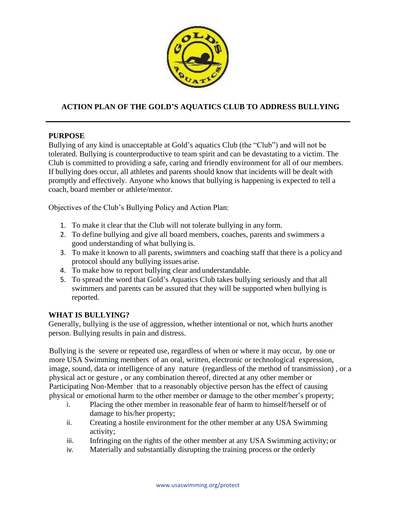

# **ACTION PLAN OF THE GOLD'S AQUATICS CLUB TO ADDRESS BULLYING**

#### **PURPOSE**

Bullying of any kind is unacceptable at Gold's aquatics Club (the "Club") and will not be tolerated. Bullying is counterproductive to team spirit and can be devastating to a victim. The Club is committed to providing a safe, caring and friendly environment for all of our members. If bullying does occur, all athletes and parents should know that incidents will be dealt with promptly and effectively. Anyone who knows that bullying is happening is expected to tell a coach, board member or athlete/mentor.

Objectives of the Club's Bullying Policy and Action Plan:

- 1. To make it clear that the Club will not tolerate bullying in any form.
- 2. To define bullying and give all board members, coaches, parents and swimmers a good understanding of what bullying is.
- 3. To make it known to all parents, swimmers and coaching staff that there is a policyand protocol should any bullying issues arise.
- 4. To make how to report bullying clear and understandable.
- 5. To spread the word that Gold's Aquatics Club takes bullying seriously and that all swimmers and parents can be assured that they will be supported when bullying is reported.

#### **WHAT IS BULLYING?**

Generally, bullying is the use of aggression, whether intentional or not, which hurts another person. Bullying results in pain and distress.

Bullying is the severe or repeated use, regardless of when or where it may occur, by one or more USA Swimming members of an oral, written, electronic or technological expression, image, sound, data or intelligence of any nature (regardless of the method of transmission) , or a physical act or gesture , or any combination thereof, directed at any other member or Participating Non-Member that to a reasonably objective person has the effect of causing physical or emotional harm to the other member or damage to the other member's property;

- i. Placing the other member in reasonable fear of harm to himself/herself or of damage to his/her property;
- ii. Creating a hostile environment for the other member at any USA Swimming activity;
- iii. Infringing on the rights of the other member at any USA Swimming activity; or
- iv. Materially and substantially disrupting the training process or the orderly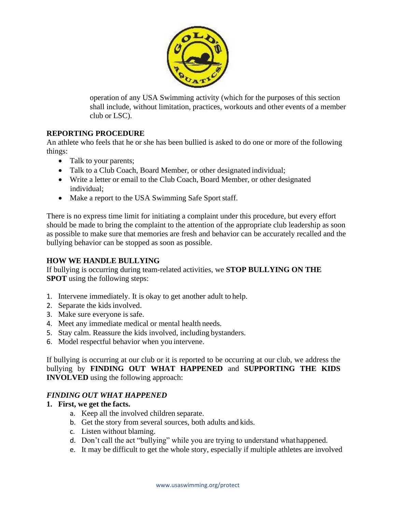

operation of any USA Swimming activity (which for the purposes of this section shall include, without limitation, practices, workouts and other events of a member club or LSC).

## **REPORTING PROCEDURE**

An athlete who feels that he or she has been bullied is asked to do one or more of the following things:

- Talk to your parents;
- Talk to a Club Coach, Board Member, or other designated individual;
- Write a letter or email to the Club Coach, Board Member, or other designated individual;
- Make a report to the USA Swimming Safe Sport staff.

There is no express time limit for initiating a complaint under this procedure, but every effort should be made to bring the complaint to the attention of the appropriate club leadership as soon as possible to make sure that memories are fresh and behavior can be accurately recalled and the bullying behavior can be stopped as soon as possible.

### **HOW WE HANDLE BULLYING**

If bullying is occurring during team-related activities, we **STOP BULLYING ON THE SPOT** using the following steps:

- 1. Intervene immediately. It is okay to get another adult to help.
- 2. Separate the kids involved.
- 3. Make sure everyone is safe.
- 4. Meet any immediate medical or mental health needs.
- 5. Stay calm. Reassure the kids involved, including bystanders.
- 6. Model respectful behavior when you intervene.

If bullying is occurring at our club or it is reported to be occurring at our club, we address the bullying by **FINDING OUT WHAT HAPPENED** and **SUPPORTING THE KIDS INVOLVED** using the following approach:

#### *FINDING OUT WHAT HAPPENED*

#### **1. First, we get the facts.**

- a. Keep all the involved children separate.
- b. Get the story from several sources, both adults and kids.
- c. Listen without blaming.
- d. Don't call the act "bullying" while you are trying to understand whathappened.
- e. It may be difficult to get the whole story, especially if multiple athletes are involved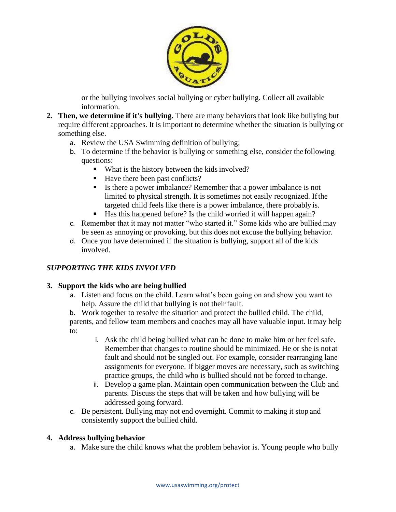

or the bullying in[volves social bullying](http://www.stopbullying.gov/what-is-bullying/definition/index.html#social) or [cyber bullying.](http://www.stopbullying.gov/cyberbullying/index.html) Collect all available information.

- **2. Then, we determine if it's bullying.** There are [many behaviors that look like bullying](http://www.stopbullying.gov/what-is-bullying/related-topics/index.html) but require different approaches. It is important to determine whether the situation is bullying or something else.
	- a. Review the USA Swimming definition of bullying;
	- b. To determine if the behavior is bullying or something else, consider the following questions:
		- What is the history between the kids involved?
		- Have there been past conflicts?
		- Is there a power imbalance? Remember that a power imbalance is not limited to physical strength. It is sometimes not easily recognized. Ifthe targeted child feels like there is a power imbalance, there probably is.
		- Has this happened before? Is the child worried it will happen again?
	- c. Remember that it may not matter "who started it." Some kids who are bullied may be seen as annoying or provoking, but this does not excuse the bullying behavior.
	- d. Once you have determined if the situation is bullying, support all of the kids involved.

## *SUPPORTING THE KIDS INVOLVED*

#### **3. Support the kids who are being bullied**

a. Listen and focus on the child. Learn what's been going on and show you want to help. Assure the child that bullying is not their fault.

b. Work together to resolve the situation and protect the bullied child. The child, parents, and fellow team members and coaches may all have valuable input. Itmay help to:

- i. Ask the child being bullied what can be done to make him or her feel safe. Remember that changes to routine should be minimized. He or she is not at fault and should not be singled out. For example, consider rearranging lane assignments for everyone. If bigger moves are necessary, such as switching practice groups, the child who is bullied should not be forced to change.
- ii. Develop a game plan. Maintain open communication between the Club and parents. Discuss the steps that will be taken and how bullying will be addressed going forward.
- c. Be persistent. Bullying may not end overnight. Commit to making it stop and consistently support the bullied child.

#### **4. Address bullying behavior**

a. Make sure the child knows what the problem behavior is. Young people who bully